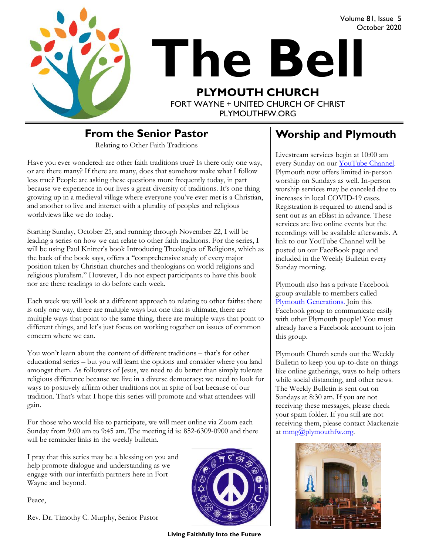

# **The Bell PLYMOUTH CHURCH** FORT WAYNE + UNITED CHURCH OF CHRIST October 2020

PI YMOUTHEW ORG

#### **From the Senior Pastor**

Relating to Other Faith Traditions

Have you ever wondered: are other faith traditions true? Is there only one way, or are there many? If there are many, does that somehow make what I follow less true? People are asking these questions more frequently today, in part because we experience in our lives a great diversity of traditions. It's one thing growing up in a medieval village where everyone you've ever met is a Christian, and another to live and interact with a plurality of peoples and religious worldviews like we do today.

Starting Sunday, October 25, and running through November 22, I will be leading a series on how we can relate to other faith traditions. For the series, I will be using Paul Knitter's book Introducing Theologies of Religions, which as the back of the book says, offers a "comprehensive study of every major position taken by Christian churches and theologians on world religions and religious pluralism." However, I do not expect participants to have this book nor are there readings to do before each week.

Each week we will look at a different approach to relating to other faiths: there is only one way, there are multiple ways but one that is ultimate, there are multiple ways that point to the same thing, there are multiple ways that point to different things, and let's just focus on working together on issues of common concern where we can.

You won't learn about the content of different traditions – that's for other educational series – but you will learn the options and consider where you land amongst them. As followers of Jesus, we need to do better than simply tolerate religious difference because we live in a diverse democracy; we need to look for ways to positively affirm other traditions not in spite of but because of our tradition. That's what I hope this series will promote and what attendees will gain.

For those who would like to participate, we will meet online via Zoom each Sunday from 9:00 am to 9:45 am. The meeting id is: 852-6309-0900 and there will be reminder links in the weekly bulletin.

I pray that this series may be a blessing on you and help promote dialogue and understanding as we engage with our interfaith partners here in Fort Wayne and beyond.

Peace,

Rev. Dr. Timothy C. Murphy, Senior Pastor



**Living Faithfully Into the Future**

#### **Worship and Plymouth**

Volume 81, Issue 5

Livestream services begin at 10:00 am every Sunday on our YouTube Channel. Plymouth now offers limited in-person worship on Sundays as well. In-person worship services may be canceled due to increases in local COVID-19 cases. Registration is required to attend and is sent out as an eBlast in advance. These services are live online events but the recordings will be available afterwards. A link to our YouTube Channel will be posted on our FaceBook page and included in the Weekly Bulletin every Sunday morning.

Plymouth also has a private Facebook group available to members called [Plymouth Generations.](https://www.facebook.com/groups/1487066224952817/) Join this Facebook group to communicate easily with other Plymouth people! You must already have a Facebook account to join this group.

Plymouth Church sends out the Weekly Bulletin to keep you up-to-date on things like online gatherings, ways to help others while social distancing, and other news. The Weekly Bulletin is sent out on Sundays at 8:30 am. If you are not receiving these messages, please check your spam folder. If you still are not receiving them, please contact Mackenzie at  $\text{mmg}(a)$  plymouth fw.org.

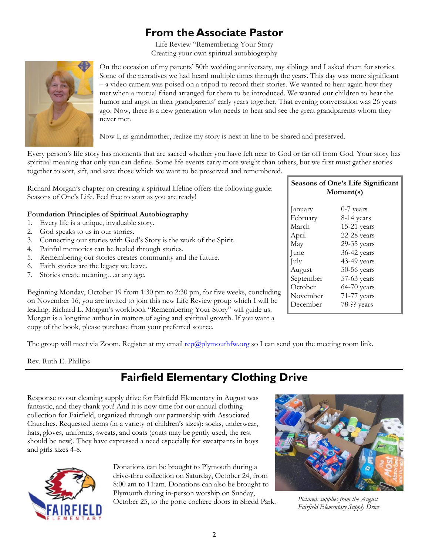#### **From the Associate Pastor**

Life Review "Remembering Your Story Creating your own spiritual autobiography



On the occasion of my parents' 50th wedding anniversary, my siblings and I asked them for stories. Some of the narratives we had heard multiple times through the years. This day was more significant – a video camera was poised on a tripod to record their stories. We wanted to hear again how they met when a mutual friend arranged for them to be introduced. We wanted our children to hear the humor and angst in their grandparents' early years together. That evening conversation was 26 years ago. Now, there is a new generation who needs to hear and see the great grandparents whom they never met.

Now I, as grandmother, realize my story is next in line to be shared and preserved.

Every person's life story has moments that are sacred whether you have felt near to God or far off from God. Your story has spiritual meaning that only you can define. Some life events carry more weight than others, but we first must gather stories together to sort, sift, and save those which we want to be preserved and remembered.

| Richard Morgan's chapter on creating a spiritual lifeline offers the following guide:<br>Seasons of One's Life. Feel free to start as you are ready!                                                                                                                                                                                                                                                                                                    | Seasons of One's Life Significant<br>Moment(s)                                      |                                                                                                                                            |
|---------------------------------------------------------------------------------------------------------------------------------------------------------------------------------------------------------------------------------------------------------------------------------------------------------------------------------------------------------------------------------------------------------------------------------------------------------|-------------------------------------------------------------------------------------|--------------------------------------------------------------------------------------------------------------------------------------------|
| <b>Foundation Principles of Spiritual Autobiography</b><br>Every life is a unique, invaluable story.<br>1.<br>God speaks to us in our stories.<br>2.<br>Connecting our stories with God's Story is the work of the Spirit.<br>3.<br>Painful memories can be healed through stories.<br>4.<br>Remembering our stories creates community and the future.<br>5.<br>Faith stories are the legacy we leave.<br>6.<br>Stories create meaningat any age.<br>7. | January<br>February<br>March<br>April<br>May<br>June<br>July<br>August<br>September | $0-7$ years<br>8-14 years<br>$15-21$ years<br>22-28 years<br>29-35 years<br>$36-42$ years<br>$43-49$ years<br>$50-56$ years<br>57-63 years |
| Beginning Monday, October 19 from 1:30 pm to 2:30 pm, for five weeks, concluding<br>on November 16, you are invited to join this new Life Review group which I will be<br>leading. Richard L. Morgan's workbook "Remembering Your Story" will guide us.<br>Morgan is a longtime author in matters of aging and spiritual growth. If you want a                                                                                                          | October<br>November<br>December                                                     | $64-70$ years<br>71-77 years<br>78-?? years                                                                                                |

copy of the book, please purchase from your preferred source.

The group will meet via Zoom. Register at my email [rep@plymouthfw.org](mailto:rep@plymouthfw.org) so I can send you the meeting room link.

Rev. Ruth E. Phillips

### **Fairfield Elementary Clothing Drive**

Response to our cleaning supply drive for Fairfield Elementary in August was fantastic, and they thank you! And it is now time for our annual clothing collection for Fairfield, organized through our partnership with Associated Churches. Requested items (in a variety of children's sizes): socks, underwear, hats, gloves, uniforms, sweats, and coats (coats may be gently used, the rest should be new). They have expressed a need especially for sweatpants in boys and girls sizes 4-8.



Donations can be brought to Plymouth during a drive-thru collection on Saturday, October 24, from 8:00 am to 11:am. Donations can also be brought to Plymouth during in-person worship on Sunday, October 25, to the porte cochere doors in Shedd Park. *Pictured: supplies from the August* 



*Fairfield Elementary Supply Drive*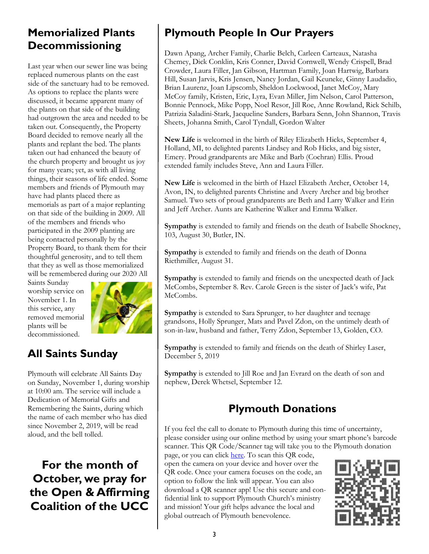#### **Memorialized Plants Decommissioning**

Last year when our sewer line was being replaced numerous plants on the east side of the sanctuary had to be removed. As options to replace the plants were discussed, it became apparent many of the plants on that side of the building had outgrown the area and needed to be taken out. Consequently, the Property Board decided to remove nearly all the plants and replant the bed. The plants taken out had enhanced the beauty of the church property and brought us joy for many years; yet, as with all living things, their seasons of life ended. Some members and friends of Plymouth may have had plants placed there as memorials as part of a major replanting on that side of the building in 2009. All of the members and friends who participated in the 2009 planting are being contacted personally by the Property Board, to thank them for their thoughtful generosity, and to tell them that they as well as those memorialized will be remembered during our 2020 All

Saints Sunday worship service on November 1. In this service, any removed memorial plants will be decommissioned.



# **All Saints Sunday**

Plymouth will celebrate All Saints Day on Sunday, November 1, during worship at 10:00 am. The service will include a Dedication of Memorial Gifts and Remembering the Saints, during which the name of each member who has died since November 2, 2019, will be read aloud, and the bell tolled.

**For the month of October, we pray for the Open & Affirming Coalition of the UCC**

# **Plymouth People In Our Prayers**

Dawn Apang, Archer Family, Charlie Belch, Carleen Carteaux, Natasha Chemey, Dick Conklin, Kris Conner, David Cornwell, Wendy Crispell, Brad Crowder, Laura Filler, Jan Gibson, Hartman Family, Joan Hartwig, Barbara Hill, Susan Jarvis, Kris Jensen, Nancy Jordan, Gail Keuneke, Ginny Laudadio, Brian Laurenz, Joan Lipscomb, Sheldon Lockwood, Janet McCoy, Mary McCoy family, Kristen, Eric, Lyra, Evan Miller, Jim Nelson, Carol Patterson, Bonnie Pennock, Mike Popp, Noel Resor, Jill Roe, Anne Rowland, Rick Schilb, Patrizia Saladini-Stark, Jacqueline Sanders, Barbara Senn, John Shannon, Travis Sheets, Johanna Smith, Carol Tyndall, Gordon Walter

**New Life** is welcomed in the birth of Riley Elizabeth Hicks, September 4, Holland, MI, to delighted parents Lindsey and Rob Hicks, and big sister, Emery. Proud grandparents are Mike and Barb (Cochran) Ellis. Proud extended family includes Steve, Ann and Laura Filler.

**New Life** is welcomed in the birth of Hazel Elizabeth Archer, October 14, Avon, IN, to delighted parents Christine and Avery Archer and big brother Samuel. Two sets of proud grandparents are Beth and Larry Walker and Erin and Jeff Archer. Aunts are Katherine Walker and Emma Walker.

**Sympathy** is extended to family and friends on the death of Isabelle Shockney, 103, August 30, Butler, IN.

**Sympathy** is extended to family and friends on the death of Donna Riethmiller, August 31.

**Sympathy** is extended to family and friends on the unexpected death of Jack McCombs, September 8. Rev. Carole Green is the sister of Jack's wife, Pat McCombs.

**Sympathy** is extended to Sara Sprunger, to her daughter and teenage grandsons, Holly Sprunger, Mats and Pavel Zdon, on the untimely death of son-in-law, husband and father, Terry Zdon, September 13, Golden, CO.

**Sympathy** is extended to family and friends on the death of Shirley Laser, December 5, 2019

**Sympathy** is extended to Jill Roe and Jan Evrard on the death of son and nephew, Derek Whetsel, September 12.

### **Plymouth Donations**

If you feel the call to donate to Plymouth during this time of uncertainty, please consider using our online method by using your smart phone's barcode scanner. This QR Code/Scanner tag will take you to the Plymouth donation

page, or you can click [here.](https://www.eservicepayments.com/cgi-bin/Vanco_ver3.vps?appver3=wWsk24ZWJSTZKsGd1RMKlg0BDvsSG3VIWQCPJNNxD8upkiY7JlDavDsozUE7KG0nFx2NSo8LdUKGuGuF396vbVaiPstRo5nGq-DzvnYb662XHubq5Z7ap5JVmPErc4ZeYHCKCZhESjGNQmZ5B-6dx2HOd3DsUXzGmTYEh8VU7JU=&ver=3) To scan this QR code, open the camera on your device and hover over the QR code. Once your camera focuses on the code, an option to follow the link will appear. You can also download a QR scanner app! Use this secure and confidential link to support Plymouth Church's ministry and mission! Your gift helps advance the local and global outreach of Plymouth benevolence.

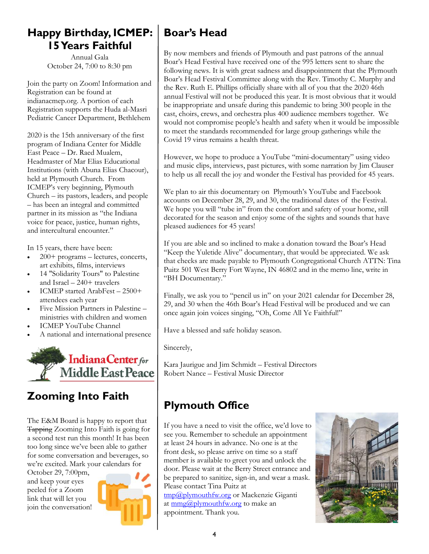#### **Happy Birthday, ICMEP: 15 Years Faithful**

Annual Gala October 24, 7:00 to 8:30 pm

Join the party on Zoom! Information and Registration can be found at indianacmep.org. A portion of each Registration supports the Huda al-Masri Pediatric Cancer Department, Bethlehem

2020 is the 15th anniversary of the first program of Indiana Center for Middle East Peace – Dr. Raed Mualem, Headmaster of Mar Elias Educational Institutions (with Abuna Elias Chacour), held at Plymouth Church. From ICMEP's very beginning, Plymouth Church – its pastors, leaders, and people – has been an integral and committed partner in its mission as "the Indiana voice for peace, justice, human rights, and intercultural encounter."

In 15 years, there have been:

- 200+ programs lectures, concerts, art exhibits, films, interviews
- 14 "Solidarity Tours" to Palestine and Israel – 240+ travelers
- ICMEP started ArabFest 2500+ attendees each year
- Five Mission Partners in Palestine ministries with children and women
- ICMEP YouTube Channel
- A national and international presence



### **Zooming Into Faith**

The E&M Board is happy to report that Tapping Zooming Into Faith is going for a second test run this month! It has been too long since we've been able to gather for some conversation and beverages, so we're excited. Mark your calendars for

October 29, 7:00pm, and keep your eyes peeled for a Zoom link that will let you join the conversation!



### **Boar's Head**

By now members and friends of Plymouth and past patrons of the annual Boar's Head Festival have received one of the 995 letters sent to share the following news. It is with great sadness and disappointment that the Plymouth Boar's Head Festival Committee along with the Rev. Timothy C. Murphy and the Rev. Ruth E. Phillips officially share with all of you that the 2020 46th annual Festival will not be produced this year. It is most obvious that it would be inappropriate and unsafe during this pandemic to bring 300 people in the cast, choirs, crews, and orchestra plus 400 audience members together. We would not compromise people's health and safety when it would be impossible to meet the standards recommended for large group gatherings while the Covid 19 virus remains a health threat.

However, we hope to produce a YouTube "mini-documentary" using video and music clips, interviews, past pictures, with some narration by Jim Clauser to help us all recall the joy and wonder the Festival has provided for 45 years.

We plan to air this documentary on Plymouth's YouTube and Facebook accounts on December 28, 29, and 30, the traditional dates of the Festival. We hope you will "tube in" from the comfort and safety of your home, still decorated for the season and enjoy some of the sights and sounds that have pleased audiences for 45 years!

If you are able and so inclined to make a donation toward the Boar's Head "Keep the Yuletide Alive" documentary, that would be appreciated. We ask that checks are made payable to Plymouth Congregational Church ATTN: Tina Puitz 501 West Berry Fort Wayne, IN 46802 and in the memo line, write in "BH Documentary."

Finally, we ask you to "pencil us in" on your 2021 calendar for December 28, 29, and 30 when the 46th Boar's Head Festival will be produced and we can once again join voices singing, "Oh, Come All Ye Faithful!"

Have a blessed and safe holiday season.

Sincerely,

Kara Jaurigue and Jim Schmidt – Festival Directors Robert Nance – Festival Music Director

# **Plymouth Office**

If you have a need to visit the office, we'd love to see you. Remember to schedule an appointment at least 24 hours in advance. No one is at the front desk, so please arrive on time so a staff member is available to greet you and unlock the door. Please wait at the Berry Street entrance and be prepared to sanitize, sign-in, and wear a mask. Please contact Tina Puitz at [tmp@plymouthfw.org](mailto:tmp@plymouthfw.org) or Mackenzie Giganti at [mmg@plymouthfw.org](mailto:mmg@plymouthfw.org) to make an appointment. Thank you.

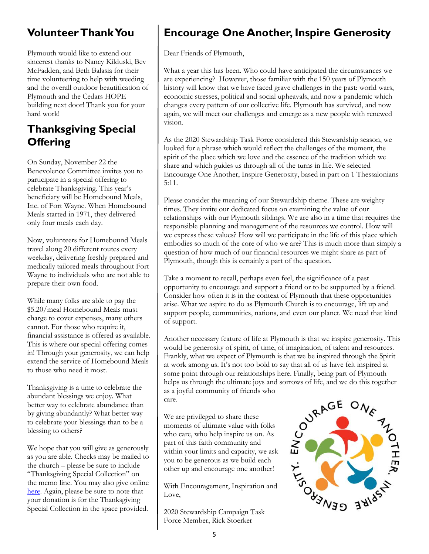### **Volunteer Thank You**

Plymouth would like to extend our sincerest thanks to Nancy Kilduski, Bev McFadden, and Beth Balasia for their time volunteering to help with weeding and the overall outdoor beautification of Plymouth and the Cedars HOPE building next door! Thank you for your hard work!

### **Thanksgiving Special Offering**

On Sunday, November 22 the Benevolence Committee invites you to participate in a special offering to celebrate Thanksgiving. This year's beneficiary will be Homebound Meals, Inc. of Fort Wayne. When Homebound Meals started in 1971, they delivered only four meals each day.

Now, volunteers for Homebound Meals travel along 20 different routes every weekday, delivering freshly prepared and medically tailored meals throughout Fort Wayne to individuals who are not able to prepare their own food.

While many folks are able to pay the \$5.20/meal Homebound Meals must charge to cover expenses, many others cannot. For those who require it, financial assistance is offered as available. This is where our special offering comes in! Through your generosity, we can help extend the service of Homebound Meals to those who need it most.

Thanksgiving is a time to celebrate the abundant blessings we enjoy. What better way to celebrate abundance than by giving abundantly? What better way to celebrate your blessings than to be a blessing to others?

We hope that you will give as generously as you are able. Checks may be mailed to the church – please be sure to include "Thanksgiving Special Collection" on the memo line. You may also give online [here.](https://www.eservicepayments.com/cgi-bin/Vanco_ver3.vps?appver3=wWsk24ZWJSTZKsGd1RMKlg0BDvsSG3VIWQCPJNNxD8upkiY7JlDavDsozUE7KG0nFx2NSo8LdUKGuGuF396vbVaiPstRo5nGq-DzvnYb662XHubq5Z7ap5JVmPErc4ZeYHCKCZhESjGNQmZ5B-6dx2HOd3DsUXzGmTYEh8VU7JU=&ver=3) Again, please be sure to note that your donation is for the Thanksgiving Special Collection in the space provided.

# **Encourage One Another, Inspire Generosity**

Dear Friends of Plymouth,

What a year this has been. Who could have anticipated the circumstances we are experiencing? However, those familiar with the 150 years of Plymouth history will know that we have faced grave challenges in the past: world wars, economic stresses, political and social upheavals, and now a pandemic which changes every pattern of our collective life. Plymouth has survived, and now again, we will meet our challenges and emerge as a new people with renewed vision.

As the 2020 Stewardship Task Force considered this Stewardship season, we looked for a phrase which would reflect the challenges of the moment, the spirit of the place which we love and the essence of the tradition which we share and which guides us through all of the turns in life. We selected Encourage One Another, Inspire Generosity, based in part on 1 Thessalonians 5:11.

Please consider the meaning of our Stewardship theme. These are weighty times. They invite our dedicated focus on examining the value of our relationships with our Plymouth siblings. We are also in a time that requires the responsible planning and management of the resources we control. How will we express these values? How will we participate in the life of this place which embodies so much of the core of who we are? This is much more than simply a question of how much of our financial resources we might share as part of Plymouth, though this is certainly a part of the question.

Take a moment to recall, perhaps even feel, the significance of a past opportunity to encourage and support a friend or to be supported by a friend. Consider how often it is in the context of Plymouth that these opportunities arise. What we aspire to do as Plymouth Church is to encourage, lift up and support people, communities, nations, and even our planet. We need that kind of support.

Another necessary feature of life at Plymouth is that we inspire generosity. This would be generosity of spirit, of time, of imagination, of talent and resources. Frankly, what we expect of Plymouth is that we be inspired through the Spirit at work among us. It's not too bold to say that all of us have felt inspired at helps us through the ultimate joys and sorrows of life, and we do this together as a joyful community of friends who care.

We are privileged to share these moments of ultimate value with folks who care, who help inspire us on. As part of this faith community and within your limits and capacity, we ask you to be generous as we build each other up and encourage one another!

With Encouragement, Inspiration and Love,

2020 Stewardship Campaign Task Force Member, Rick Stoerker

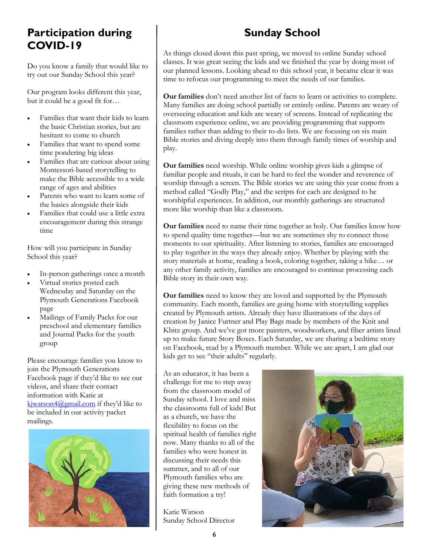#### **Participation during COVID-19**

Do you know a family that would like to try out our Sunday School this year?

Our program looks different this year, but it could be a good fit for…

- Families that want their kids to learn the basic Christian stories, but are hesitant to come to church
- Families that want to spend some time pondering big ideas
- Families that are curious about using Montessori-based storytelling to make the Bible accessible to a wide range of ages and abilities
- Parents who want to learn some of the basics alongside their kids
- Families that could use a little extra encouragement during this strange time

How will you participate in Sunday School this year?

- In-person gatherings once a month
- Virtual stories posted each Wednesday and Saturday on the Plymouth Generations Facebook page
- Mailings of Family Packs for our preschool and elementary families and Journal Packs for the youth group

Please encourage families you know to join the Plymouth Generations Facebook page if they'd like to see our videos, and share their contact information with Katie at [kjwatson4@gmail.com](mailto:kjwatson4@gmail.com) if they'd like to be included in our activity packet mailings.



# **Sunday School**

As things closed down this past spring, we moved to online Sunday school classes. It was great seeing the kids and we finished the year by doing most of our planned lessons. Looking ahead to this school year, it became clear it was time to refocus our programming to meet the needs of our families.

**Our families** don't need another list of facts to learn or activities to complete. Many families are doing school partially or entirely online. Parents are weary of overseeing education and kids are weary of screens. Instead of replicating the classroom experience online, we are providing programming that supports families rather than adding to their to-do lists. We are focusing on six main Bible stories and diving deeply into them through family times of worship and play.

**Our families** need worship. While online worship gives kids a glimpse of familiar people and rituals, it can be hard to feel the wonder and reverence of worship through a screen. The Bible stories we are using this year come from a method called "Godly Play," and the scripts for each are designed to be worshipful experiences. In addition, our monthly gatherings are structured more like worship than like a classroom.

**Our families** need to name their time together as holy. Our families know how to spend quality time together—but we are sometimes shy to connect those moments to our spirituality. After listening to stories, families are encouraged to play together in the ways they already enjoy. Whether by playing with the story materials at home, reading a book, coloring together, taking a hike… or any other family activity, families are encouraged to continue processing each Bible story in their own way.

**Our families** need to know they are loved and supported by the Plymouth community. Each month, families are going home with storytelling supplies created by Plymouth artists. Already they have illustrations of the days of creation by Janice Furtner and Play Bags made by members of the Knit and Kbitz group. And we've got more painters, woodworkers, and fiber artists lined up to make future Story Boxes. Each Saturday, we are sharing a bedtime story on Facebook, read by a Plymouth member. While we are apart, I am glad our kids get to see "their adults" regularly.

As an educator, it has been a challenge for me to step away from the classroom model of Sunday school. I love and miss the classrooms full of kids! But as a church, we have the flexibility to focus on the spiritual health of families right now. Many thanks to all of the families who were honest in discussing their needs this summer, and to all of our Plymouth families who are giving these new methods of faith formation a try!

Katie Watson Sunday School Director

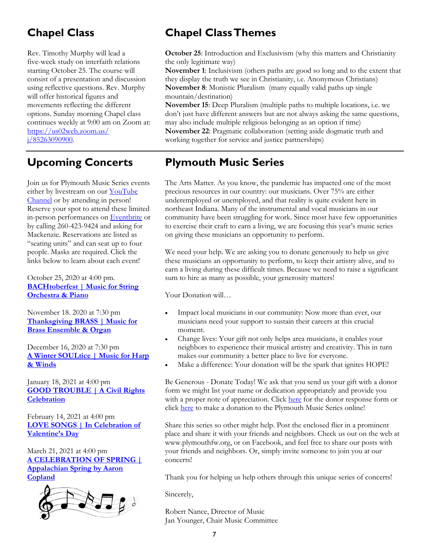### **Chapel Class**

Rev. Timothy Murphy will lead a five-week study on interfaith relations starting October 25. The course will consist of a presentation and discussion using reflective questions. Rev. Murphy will offer historical figures and movements reflecting the different options. Sunday morning Chapel class continues weekly at 9:00 am on Zoom at: [https://us02web.zoom.us/](https://us02web.zoom.us/j/85263090900) [j/85263090900.](https://us02web.zoom.us/j/85263090900)

### **Upcoming Concerts**

Join us for Plymouth Music Series events either by livestream on our YouTube [Channel](youtube.com/plymouthchurchfw) or by attending in person! Reserve your spot to attend these limited in-person performances on [Eventbrite](https://www.eventbrite.com/o/plymouth-congregational-church-music-series-16631868785) or by calling 260-423-9424 and asking for Mackenzie. Reservations are listed as "seating units" and can seat up to four people. Masks are required. Click the links below to learn about each event!

October 25, 2020 at 4:00 pm. **[BACHtoberfest | Music for String](https://www.eventbrite.com/e/124263763261)  [Orchestra & Piano](https://www.eventbrite.com/e/124263763261)**

November 18. 2020 at 7:30 pm **[Thanksgiving BRASS | Music for](https://www.eventbrite.com/e/124273662871)  [Brass Ensemble & Organ](https://www.eventbrite.com/e/124273662871)**

December 16, 2020 at 7:30 pm **[A Winter SOULtice | Music for Harp](https://www.eventbrite.com/e/124274226557)  [& Winds](https://www.eventbrite.com/e/124274226557)**

January 18, 2021 at 4:00 pm **[GOOD TROUBLE | A Civil Rights](https://www.eventbrite.com/e/124276116209)  [Celebration](https://www.eventbrite.com/e/124276116209)**

February 14, 2021 at 4:00 pm **[LOVE SONGS | In Celebration of](https://www.eventbrite.com/e/124276912591)  [Valentine's Day](https://www.eventbrite.com/e/124276912591)**

March 21, 2021 at 4:00 pm **[A CELEBRATION OF SPRING |](https://www.eventbrite.com/e/124277159329)  [Appalachian Spring by Aaron](https://www.eventbrite.com/e/124277159329)  [Copland](https://www.eventbrite.com/e/124277159329)**



# **Chapel Class Themes**

**October 25**: Introduction and Exclusivism (why this matters and Christianity the only legitimate way)

**November 1**: Inclusivism (others paths are good so long and to the extent that they display the truth we see in Christianity, i.e. Anonymous Christians) **November 8**: Monistic Pluralism (many equally valid paths up single mountain/destination)

**November 15**: Deep Pluralism (multiple paths to multiple locations, i.e. we don't just have different answers but are not always asking the same questions, may also include multiple religious belonging as an option if time) **November 22**: Pragmatic collaboration (setting aside dogmatic truth and working together for service and justice partnerships)

#### **Plymouth Music Series**

The Arts Matter. As you know, the pandemic has impacted one of the most precious resources in our country: our musicians. Over 75% are either underemployed or unemployed, and that reality is quite evident here in northeast Indiana. Many of the instrumental and vocal musicians in our community have been struggling for work. Since most have few opportunities to exercise their craft to earn a living, we are focusing this year's music series on giving these musicians an opportunity to perform.

We need your help. We are asking you to donate generously to help us give these musicians an opportunity to perform, to keep their artistry alive, and to earn a living during these difficult times. Because we need to raise a significant sum to hire as many as possible, your generosity matters!

Your Donation will…

- Impact local musicians in our community: Now more than ever, our musicians need your support to sustain their careers at this crucial moment.
- Change lives: Your gift not only helps area musicians, it enables your neighbors to experience their musical artistry and creativity. This in turn makes our community a better place to live for everyone.
- Make a difference: Your donation will be the spark that ignites HOPE!

Be Generous - Donate Today! We ask that you send us your gift with a donor form we might list your name or dedication appropriately and provide you with a proper note of appreciation. Click [here](file:///S:/BELL/2020/october/ADDED donor response form.pdf) for the donor response form or click [here](https://www.eservicepayments.com/cgi-bin/Vanco_ver3.vps?appver3=wWsk24ZWJSTZKsGd1RMKlg0BDvsSG3VIWQCPJNNxD8upkiY7JlDavDsozUE7KG0nFx2NSo8LdUKGuGuF396vbVaiPstRo5nGq-DzvnYb662XHubq5Z7ap5JVmPErc4ZeYHCKCZhESjGNQmZ5B-6dx2HOd3DsUXzGmTYEh8VU7JU=&ver=3) to make a donation to the Plymouth Music Series online!

Share this series so other might help. Post the enclosed flier in a prominent place and share it with your friends and neighbors. Check us out on the web at www.plymouthfw.org, or on Facebook, and feel free to share our posts with your friends and neighbors. Or, simply invite someone to join you at our concerts!

Thank you for helping us help others through this unique series of concerts!

Sincerely,

Robert Nance, Director of Music Jan Younger, Chair Music Committee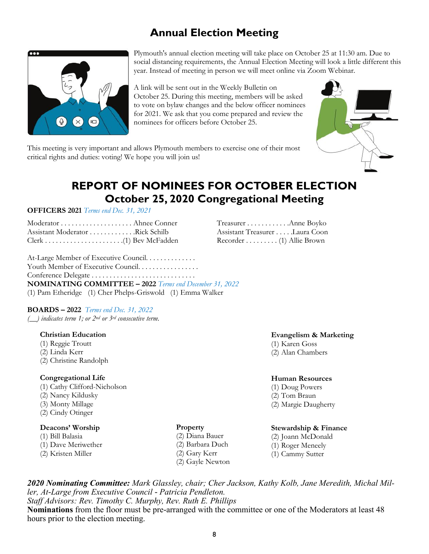#### **Annual Election Meeting**



Plymouth's annual election meeting will take place on October 25 at 11:30 am. Due to social distancing requirements, the Annual Election Meeting will look a little different this year. Instead of meeting in person we will meet online via Zoom Webinar.

A link will be sent out in the Weekly Bulletin on October 25. During this meeting, members will be asked to vote on bylaw changes and the below officer nominees for 2021. We ask that you come prepared and review the nominees for officers before October 25.



This meeting is very important and allows Plymouth members to exercise one of their most critical rights and duties: voting! We hope you will join us!

#### **REPORT OF NOMINEES FOR OCTOBER ELECTION October 25, 2020 Congregational Meeting**

#### **OFFICERS 2021** *Terms end Dec. 31, 2021*

| Assistant Moderator Rick Schilb |  |
|---------------------------------|--|
|                                 |  |

At-Large Member of Executive Council. . . . . . . . . . . . . Youth Member of Executive Council. . . . . . . . . . . . . . . . Conference Delegate . . . . . . . . . . . . . . . . . . . . . . . . . . . . . **NOMINATING COMMITTEE – 2022** *Terms end December 31, 2022* (1) Pam Etheridge (1) Cher Phelps-Griswold (1) Emma Walker

#### **BOARDS – 2022** *Terms end Dec. 31, 2022*

*(\_\_) indicates term 1; or 2nd or 3rd consecutive term.*

#### **Christian Education**

- (1) Reggie Troutt (2) Linda Kerr
- (2) Christine Randolph

#### **Congregational Life**

(1) Cathy Clifford-Nicholson (2) Nancy Kildusky

- (3) Monty Millage
- (2) Cindy Otinger
- 

#### **Deacons' Worship**

- (1) Bill Balasia
- (1) Dave Meriwether
- (2) Kristen Miller

Treasurer . . . . . . . . . . . .Anne Boyko Assistant Treasurer . . . . .Laura Coon Recorder . . . . . . . . . (1) Allie Brown

#### **Evangelism & Marketing**

- (1) Karen Goss
- (2) Alan Chambers

#### **Human Resources**

- (1) Doug Powers
- (2) Tom Braun
- (2) Margie Daugherty

#### **Stewardship & Finance**

- (2) Joann McDonald
- (1) Roger Meneely
- (1) Cammy Sutter

*2020 Nominating Committee: Mark Glassley, chair; Cher Jackson, Kathy Kolb, Jane Meredith, Michal Miller, At-Large from Executive Council - Patricia Pendleton. Staff Advisors: Rev. Timothy C. Murphy, Rev. Ruth E. Phillips*

**Nominations** from the floor must be pre-arranged with the committee or one of the Moderators at least 48 hours prior to the election meeting.

**Property** (2) Diana Bauer (2) Barbara Duch (2) Gary Kerr (2) Gayle Newton